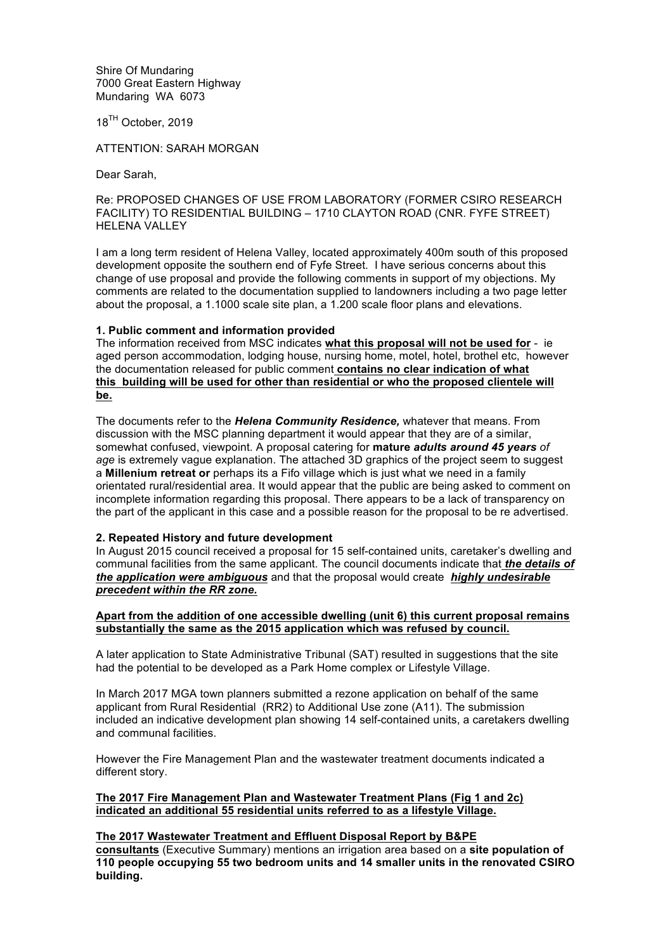Shire Of Mundaring 7000 Great Eastern Highway Mundaring WA 6073

18<sup>TH</sup> October, 2019

ATTENTION: SARAH MORGAN

Dear Sarah,

### Re: PROPOSED CHANGES OF USE FROM LABORATORY (FORMER CSIRO RESEARCH FACILITY) TO RESIDENTIAL BUILDING – 1710 CLAYTON ROAD (CNR. FYFE STREET) HELENA VALLEY

I am a long term resident of Helena Valley, located approximately 400m south of this proposed development opposite the southern end of Fyfe Street. I have serious concerns about this change of use proposal and provide the following comments in support of my objections. My comments are related to the documentation supplied to landowners including a two page letter about the proposal, a 1.1000 scale site plan, a 1.200 scale floor plans and elevations.

## **1. Public comment and information provided**

The information received from MSC indicates **what this proposal will not be used for** - ie aged person accommodation, lodging house, nursing home, motel, hotel, brothel etc, however the documentation released for public comment **contains no clear indication of what this building will be used for other than residential or who the proposed clientele will be.**

The documents refer to the *Helena Community Residence,* whatever that means. From discussion with the MSC planning department it would appear that they are of a similar, somewhat confused, viewpoint. A proposal catering for **mature** *adults around 45 years of age* is extremely vague explanation. The attached 3D graphics of the project seem to suggest a **Millenium retreat or** perhaps its a Fifo village which is just what we need in a family orientated rural/residential area. It would appear that the public are being asked to comment on incomplete information regarding this proposal. There appears to be a lack of transparency on the part of the applicant in this case and a possible reason for the proposal to be re advertised.

## **2. Repeated History and future development**

In August 2015 council received a proposal for 15 self-contained units, caretaker's dwelling and communal facilities from the same applicant. The council documents indicate that *the details of the application were ambiguous* and that the proposal would create *highly undesirable precedent within the RR zone.*

# **Apart from the addition of one accessible dwelling (unit 6) this current proposal remains substantially the same as the 2015 application which was refused by council.**

A later application to State Administrative Tribunal (SAT) resulted in suggestions that the site had the potential to be developed as a Park Home complex or Lifestyle Village.

In March 2017 MGA town planners submitted a rezone application on behalf of the same applicant from Rural Residential (RR2) to Additional Use zone (A11). The submission included an indicative development plan showing 14 self-contained units, a caretakers dwelling and communal facilities.

However the Fire Management Plan and the wastewater treatment documents indicated a different story.

### **The 2017 Fire Management Plan and Wastewater Treatment Plans (Fig 1 and 2c) indicated an additional 55 residential units referred to as a lifestyle Village.**

### **The 2017 Wastewater Treatment and Effluent Disposal Report by B&PE**

**consultants** (Executive Summary) mentions an irrigation area based on a **site population of 110 people occupying 55 two bedroom units and 14 smaller units in the renovated CSIRO building.**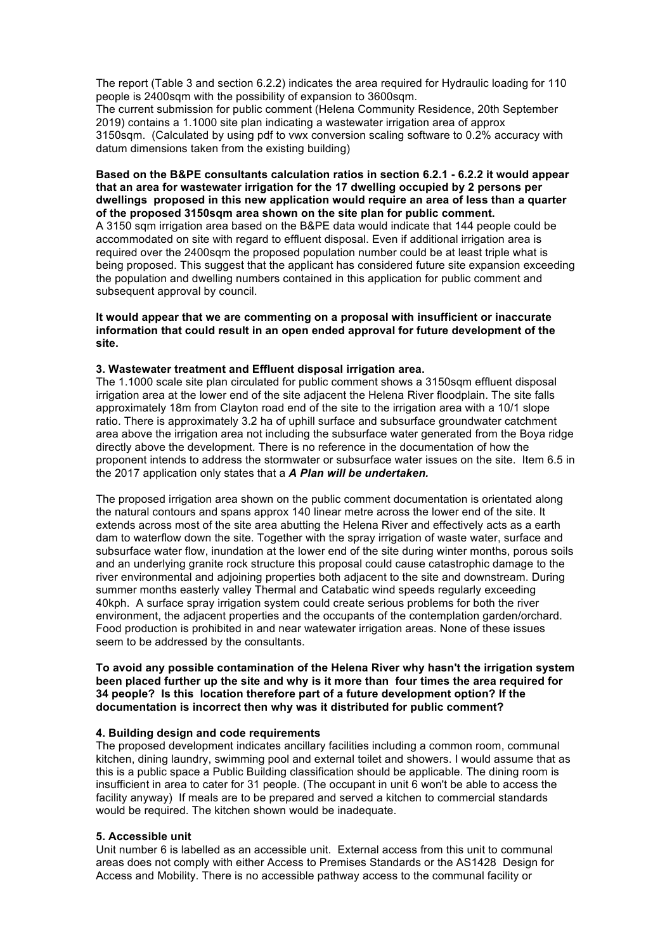The report (Table 3 and section 6.2.2) indicates the area required for Hydraulic loading for 110 people is 2400sqm with the possibility of expansion to 3600sqm.

The current submission for public comment (Helena Community Residence, 20th September 2019) contains a 1.1000 site plan indicating a wastewater irrigation area of approx 3150sqm. (Calculated by using pdf to vwx conversion scaling software to 0.2% accuracy with datum dimensions taken from the existing building)

#### **Based on the B&PE consultants calculation ratios in section 6.2.1 - 6.2.2 it would appear that an area for wastewater irrigation for the 17 dwelling occupied by 2 persons per dwellings proposed in this new application would require an area of less than a quarter of the proposed 3150sqm area shown on the site plan for public comment.**

A 3150 sqm irrigation area based on the B&PE data would indicate that 144 people could be accommodated on site with regard to effluent disposal. Even if additional irrigation area is required over the 2400sqm the proposed population number could be at least triple what is being proposed. This suggest that the applicant has considered future site expansion exceeding the population and dwelling numbers contained in this application for public comment and subsequent approval by council.

**It would appear that we are commenting on a proposal with insufficient or inaccurate information that could result in an open ended approval for future development of the site.**

### **3. Wastewater treatment and Effluent disposal irrigation area.**

The 1.1000 scale site plan circulated for public comment shows a 3150sqm effluent disposal irrigation area at the lower end of the site adjacent the Helena River floodplain. The site falls approximately 18m from Clayton road end of the site to the irrigation area with a 10/1 slope ratio. There is approximately 3.2 ha of uphill surface and subsurface groundwater catchment area above the irrigation area not including the subsurface water generated from the Boya ridge directly above the development. There is no reference in the documentation of how the proponent intends to address the stormwater or subsurface water issues on the site. Item 6.5 in the 2017 application only states that a *A Plan will be undertaken.*

The proposed irrigation area shown on the public comment documentation is orientated along the natural contours and spans approx 140 linear metre across the lower end of the site. It extends across most of the site area abutting the Helena River and effectively acts as a earth dam to waterflow down the site. Together with the spray irrigation of waste water, surface and subsurface water flow, inundation at the lower end of the site during winter months, porous soils and an underlying granite rock structure this proposal could cause catastrophic damage to the river environmental and adjoining properties both adjacent to the site and downstream. During summer months easterly valley Thermal and Catabatic wind speeds regularly exceeding 40kph. A surface spray irrigation system could create serious problems for both the river environment, the adjacent properties and the occupants of the contemplation garden/orchard. Food production is prohibited in and near watewater irrigation areas. None of these issues seem to be addressed by the consultants.

### **To avoid any possible contamination of the Helena River why hasn't the irrigation system been placed further up the site and why is it more than four times the area required for 34 people? Is this location therefore part of a future development option? If the documentation is incorrect then why was it distributed for public comment?**

## **4. Building design and code requirements**

The proposed development indicates ancillary facilities including a common room, communal kitchen, dining laundry, swimming pool and external toilet and showers. I would assume that as this is a public space a Public Building classification should be applicable. The dining room is insufficient in area to cater for 31 people. (The occupant in unit 6 won't be able to access the facility anyway) If meals are to be prepared and served a kitchen to commercial standards would be required. The kitchen shown would be inadequate.

### **5. Accessible unit**

Unit number 6 is labelled as an accessible unit. External access from this unit to communal areas does not comply with either Access to Premises Standards or the AS1428 Design for Access and Mobility. There is no accessible pathway access to the communal facility or